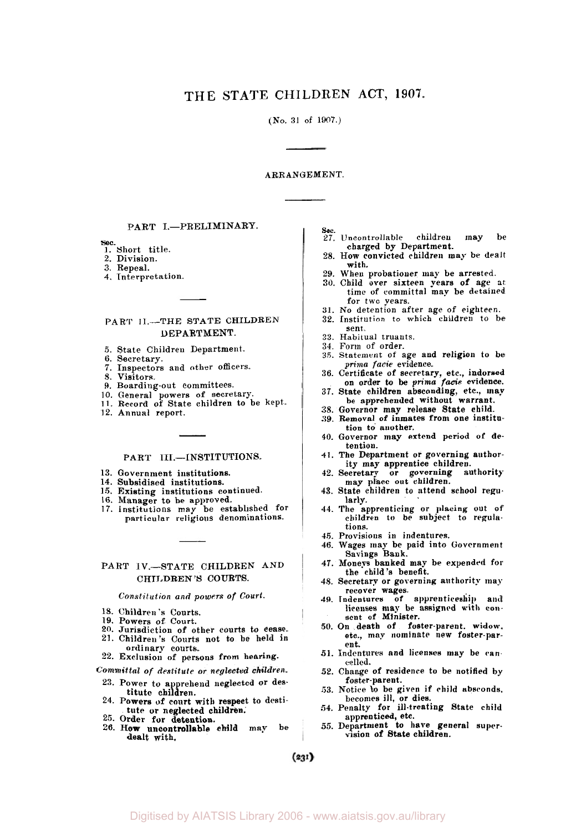(No. 31 of 1907.)

### ARRANGEMENT.

## PART I.-PRELIMINARY.

*Sec.*  1. Short title.

- **2.** Division.
- 3. Repeal.
- **4.** Interpretation.

## PART II.--THE STATE CHILDREN DEPARTMENT.

- 5. State Children Department.
- 6. Secretary.
- **7.** Inspectors and other officers.
- **S.** Visitors.
- **9.** Boarding-out committees.
- 
- 10. General powers of secretary. **II.** Record of State children to be kept.
- 12. Annual report.

#### PART III.-INSTITUTIONS.

- 13. Government institutions.
- 14. Subsidised institutions.
- **15.** Existing institutions continued. **16.** Manager to be approved.
- 
- 17. Institutions may be established **for**  particular religious denominations.

## PART IV.-STATE CHILDREN AND CHILDREN'S COURTS.

#### *Constitution and powers of* **Court.**

- **18.** Children's Courts
- 
- 19. Powers of Court.
- **20.** Jurisdiction of other courts **to** cease. 21. Children's Courts not **to** be held in
- ordinary courts.<br>22. Exclusion of persons from hearing.

- *Committal of destitute or neglected children.*  23. Power to apprehend neglected or des-titute children.
- **24.** Powers of court with respect to desti-
- tute or neglected children.<br>25. Order for detention.
- **26. How** uncontrollable child may be dealt with.
- sec. 27. Uncontrollable children may be charged by Department.
- 28. How convicted children may be dealt with.
- 
- 29. When probationer may be arrested. 30. Child over sixteen years of age at time of committal may be detained for two years.
- 31. No detention after age of eighteen.
- 32. Institution to which children to be 33. Habitual truants. sent.
- 
- 31. Form of order.
- **35.** Statement of age and religion to be
- *prima facie* evidence. 36. Certificate of secretary, etc., indorsed on order to be prima *facie* evidence.
- 37. State children absconding, etc., map be apprehended without warrant.
- 38. Governor may release State child.
- **39.** Removal of inmates **from** one institution to another.
- **40.** Governor may extend period of detention.
- **41.** The Department or governing authority may apprentice children.
- 42. Secretary or governing authority may place out children.
- **43.** State children to attend school regularly.
- **44.** The apprenticing or placing out of children to be subject to regulations.
- **45.** Provisions in indentures.
- **46.** Wages may be paid into Government Savings Bank.
- 47. Moneys banked may be expended for the child's benefit.
- 48. Secretary or governing authority may
- recover wages.<br>49. Indentures of apprenticeship and licenses may be assigned with conlicenses may be assigned with consent of Minister.<br>50. On death of foster-parent, widow.
- etc., may nominate new foster-parent.
- 51. Indentures and licenses may be cancelled.
- 52. Change of residence to be notified by foster-parent.
- 53. Notice **to** be given if child absconds. becomes **ill,** or dies.
- 54. Penalty for ill-treating State child apprenticed, etc. *55.* Department **to** have general super-
- vision of State children.

 $(231)$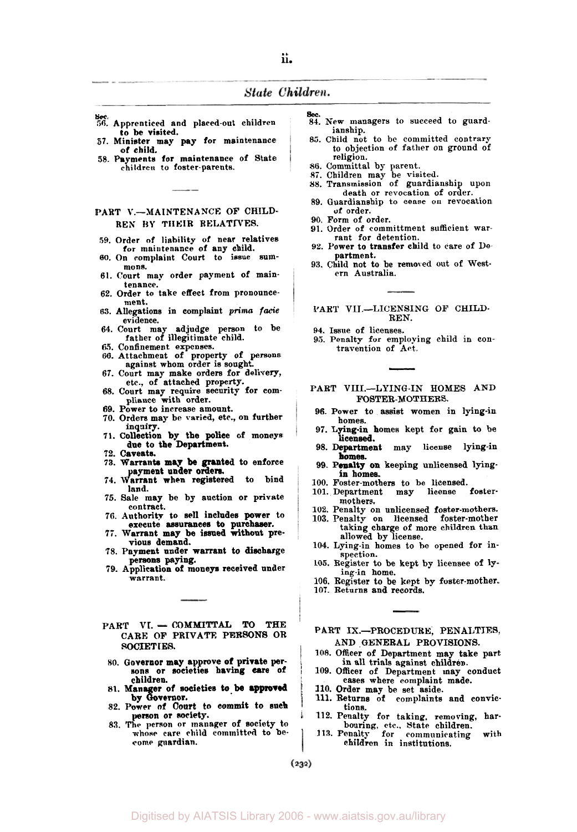- *sec.*  **56.** Apprenticed and placed-out children **to** be visited.
- **57.** Minister **may** pay for maintenance of child.
- *58.* Payments for maintenance of State children **to** foster-parents.

### PART V.-MAINTENANCE **OF** CHILD-**REN BY** THEIR RELATIVES.

- **59.** Order **of** liability of near relatives for maintenance of any child.
- *60.* On complaint court to issue sum- mons.
- **61.** Court may order payment of maintenance.
- **62.** Order to take effect from pronouncement.
- **63.** Allegations in complaint *prima facie*  evidence.
- **64.** Court may adjudge **person** to be father of illegitimate child.
- *65.* Confinement expenses.
- **66.** Attachment of property of persons against whom order is sought.
- 67. Court may make orders for delivery, etc., of attached property.
- 68. Court may require security for com-<br>pliance with order.
- **69.** Power to increase amount.
- 70. Orders may be varied, etc. on further **inquiry.**
- **71.** Collection by the police of **moneys**  due to the Department.
- 72. Caveats.
- 73. Warrants may **be** granted to enforce payment under orders.<br>74. Warrant when registered to bind
- land.
- **75.** Sale **may** be by auction or private contract.
- execute assurances to purchaser. **76.** Authority to sell includes power to
- 77. Warrant may be issued without pre-<br>vious demand.
- persons paying. **78.** Payment under warrant to discharge
- warrant. **79.** Application of moneys received under
- PART **VI.** COMMITTAL **TO** THE CARE OF PRIVATE PERSONS OR SOCIETIES.
- *80.* Governor may approve of private per-sons or societies having care of children.
- **81.** Manager **of** societies to be approved by Governor.
- **82.** Power of Court **to** commit to such parson or society.
- **83. The** person or manager of society to **whose** care child committed to be- **come** guardian.
- *Sec.*  **84.** New managers to succeed to guardianship.
- **85.** Child not to be committed contrary to objection of father on ground of religion.
- 
- *86.* Committal by parent. **87.** Children may be visited.
- 88. Transmission of guardianship upon death or revocation of order.
- **89.** Guardianship to cease on revocation of order.
- **90.** Form of order.
- **91.** Order of committment sufficient war-rant for detention.
- **92.** Power to transfer child to care of Department.
- **93.** Child not to be removed out of Western Australia.

#### PART VII.-LICENSING OF CHILD-REN.

- **94.** Issue of licenses.
- **9.5.** Penalty for employing child in con- travention of Act.

PART VIII.--LYING-IN HOMES AND FOSTER-MOTHERS.

- **96.** Power to assist women in lying-in homes.
- 97. Lying-in homes kept for gain to be licensed.
- homes. **98.** Department may license lying-in
- in homes. **99.** Penalty on keeping unlicensed lying
- 100. Foster-mothem to be licensed.
- **101.** Department may license fostermothers.
- 
- **102.** Penalty on unlicensed foster-mothers. 103. Penalty on licensed foster-mother taking charge of more children than allowed by license.
- **104.** Lying-in homes to be opened for inspection.
- **105.** Register to be kept by licensee of lying-in home.
- **106.** Register to be kept by foster-mother. **107.** Returns and records.
- 
- PART IX.-PROCEDURE, PENALTIES, AND GENERAL PROVISIONS.
- **108.** Officer of Department may take part **in** all trials against children.
- **109.** Officer of Department may conduct eases where complaint made. **110.** Order may be set aside. 111. Returns of complaints and convic-
- 
- tions.
- **118.** Penalty for taking, removing, harbouring, etc., State children. **113.** Penalty for communicating with
- children in institutions.

 $(232)$ 

I